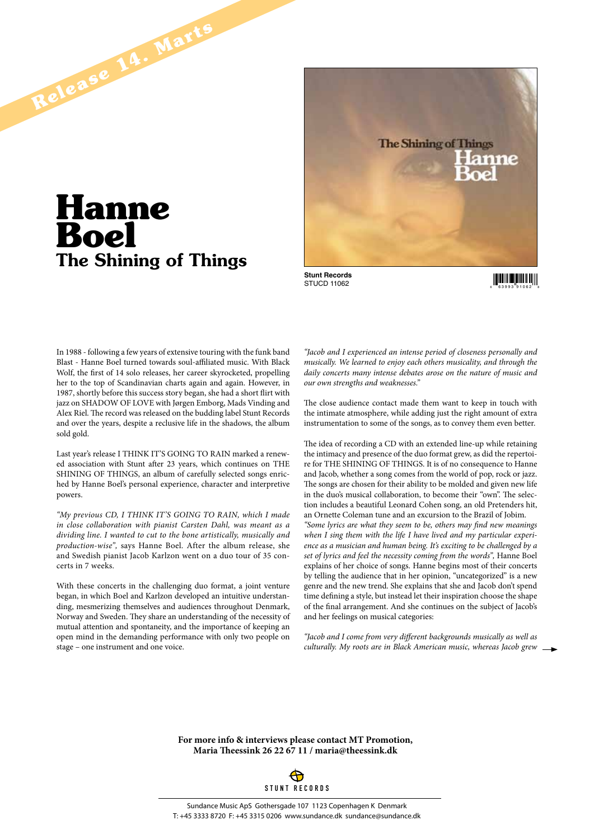## **Hanne Boel** The Shining of Things

**Re lease 14. Mar ts**



**Stunt Records**<br>STUCD 11062

 $\text{STUCD 11062}$   $\text{S TUCD 11062}$ 

In 1988 - following a few years of extensive touring with the funk band Blast - Hanne Boel turned towards soul-affiliated music. With Black Wolf, the first of 14 solo releases, her career skyrocketed, propelling her to the top of Scandinavian charts again and again. However, in 1987, shortly before this success story began, she had a short flirt with jazz on SHADOW OF LOVE with Jørgen Emborg, Mads Vinding and Alex Riel. The record was released on the budding label Stunt Records and over the years, despite a reclusive life in the shadows, the album sold gold.

Last year's release I THINK IT'S GOING TO RAIN marked a renewed association with Stunt after 23 years, which continues on THE SHINING OF THINGS, an album of carefully selected songs enriched by Hanne Boel's personal experience, character and interpretive powers.

*"My previous CD, I THINK IT'S GOING TO RAIN, which I made in close collaboration with pianist Carsten Dahl, was meant as a dividing line. I wanted to cut to the bone artistically, musically and production-wise",* says Hanne Boel. After the album release, she and Swedish pianist Jacob Karlzon went on a duo tour of 35 concerts in 7 weeks.

With these concerts in the challenging duo format, a joint venture began, in which Boel and Karlzon developed an intuitive understanding, mesmerizing themselves and audiences throughout Denmark, Norway and Sweden. They share an understanding of the necessity of mutual attention and spontaneity, and the importance of keeping an open mind in the demanding performance with only two people on stage – one instrument and one voice.

*"Jacob and I experienced an intense period of closeness personally and musically. We learned to enjoy each others musicality, and through the daily concerts many intense debates arose on the nature of music and our own strengths and weaknesses."*

The close audience contact made them want to keep in touch with the intimate atmosphere, while adding just the right amount of extra instrumentation to some of the songs, as to convey them even better.

The idea of recording a CD with an extended line-up while retaining the intimacy and presence of the duo format grew, as did the repertoire for THE SHINING OF THINGS. It is of no consequence to Hanne and Jacob, whether a song comes from the world of pop, rock or jazz. The songs are chosen for their ability to be molded and given new life in the duo's musical collaboration, to become their "own". The selection includes a beautiful Leonard Cohen song, an old Pretenders hit, an Ornette Coleman tune and an excursion to the Brazil of Jobim.

*"Some lyrics are what they seem to be, others may find new meanings when I sing them with the life I have lived and my particular experience as a musician and human being. It's exciting to be challenged by a set of lyrics and feel the necessity coming from the words",* Hanne Boel explains of her choice of songs. Hanne begins most of their concerts by telling the audience that in her opinion, "uncategorized" is a new genre and the new trend. She explains that she and Jacob don't spend time defining a style, but instead let their inspiration choose the shape of the final arrangement. And she continues on the subject of Jacob's and her feelings on musical categories:

*"Jacob and I come from very different backgrounds musically as well as culturally. My roots are in Black American music, whereas Jacob grew* 

**For more info & interviews please contact MT Promotion, Maria Theessink 26 22 67 11 / maria@theessink.dk**